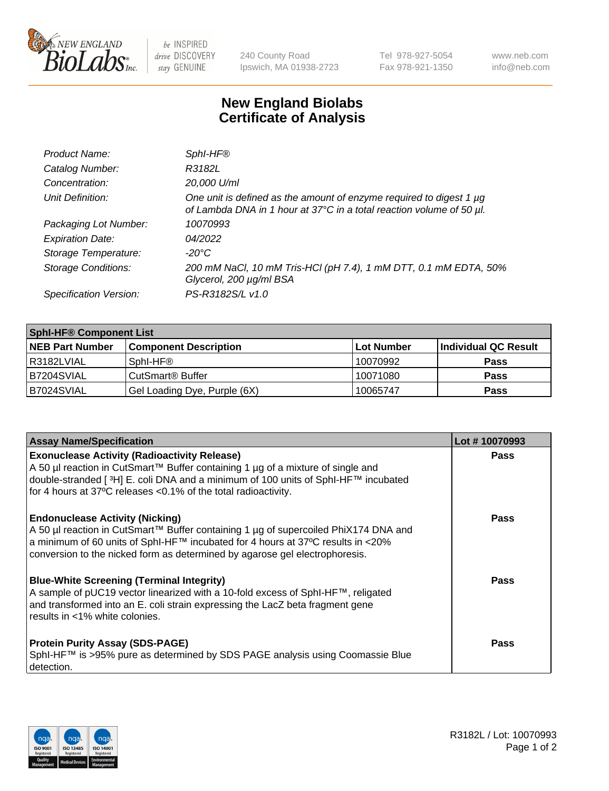

 $be$  INSPIRED drive DISCOVERY stay GENUINE

240 County Road Ipswich, MA 01938-2723 Tel 978-927-5054 Fax 978-921-1350 www.neb.com info@neb.com

## **New England Biolabs Certificate of Analysis**

| Product Name:              | Sphl-HF®                                                                                                                                    |
|----------------------------|---------------------------------------------------------------------------------------------------------------------------------------------|
| Catalog Number:            | R3182L                                                                                                                                      |
| Concentration:             | 20,000 U/ml                                                                                                                                 |
| Unit Definition:           | One unit is defined as the amount of enzyme required to digest 1 µg<br>of Lambda DNA in 1 hour at 37°C in a total reaction volume of 50 µl. |
| Packaging Lot Number:      | 10070993                                                                                                                                    |
| <b>Expiration Date:</b>    | 04/2022                                                                                                                                     |
| Storage Temperature:       | $-20^{\circ}$ C                                                                                                                             |
| <b>Storage Conditions:</b> | 200 mM NaCl, 10 mM Tris-HCl (pH 7.4), 1 mM DTT, 0.1 mM EDTA, 50%<br>Glycerol, 200 µg/ml BSA                                                 |
| Specification Version:     | PS-R3182S/L v1.0                                                                                                                            |

| <b>Sphl-HF® Component List</b> |                              |            |                      |  |  |
|--------------------------------|------------------------------|------------|----------------------|--|--|
| <b>NEB Part Number</b>         | <b>Component Description</b> | Lot Number | Individual QC Result |  |  |
| R3182LVIAL                     | Sphl-HF®                     | 10070992   | <b>Pass</b>          |  |  |
| B7204SVIAL                     | CutSmart <sup>®</sup> Buffer | 10071080   | <b>Pass</b>          |  |  |
| B7024SVIAL                     | Gel Loading Dye, Purple (6X) | 10065747   | <b>Pass</b>          |  |  |

| <b>Assay Name/Specification</b>                                                                                                                                                                                                                                                                   | Lot #10070993 |
|---------------------------------------------------------------------------------------------------------------------------------------------------------------------------------------------------------------------------------------------------------------------------------------------------|---------------|
| <b>Exonuclease Activity (Radioactivity Release)</b><br>A 50 µl reaction in CutSmart™ Buffer containing 1 µg of a mixture of single and<br>double-stranded [3H] E. coli DNA and a minimum of 100 units of Sphl-HF™ incubated<br>for 4 hours at 37°C releases <0.1% of the total radioactivity.     | <b>Pass</b>   |
| <b>Endonuclease Activity (Nicking)</b><br>A 50 µl reaction in CutSmart™ Buffer containing 1 µg of supercoiled PhiX174 DNA and<br>  a minimum of 60 units of SphI-HF™ incubated for 4 hours at 37°C results in <20%<br>conversion to the nicked form as determined by agarose gel electrophoresis. | Pass          |
| <b>Blue-White Screening (Terminal Integrity)</b><br>A sample of pUC19 vector linearized with a 10-fold excess of SphI-HF™, religated<br>and transformed into an E. coli strain expressing the LacZ beta fragment gene<br>l results in <1% white colonies.                                         | Pass          |
| <b>Protein Purity Assay (SDS-PAGE)</b><br>SphI-HF™ is >95% pure as determined by SDS PAGE analysis using Coomassie Blue<br>detection.                                                                                                                                                             | <b>Pass</b>   |